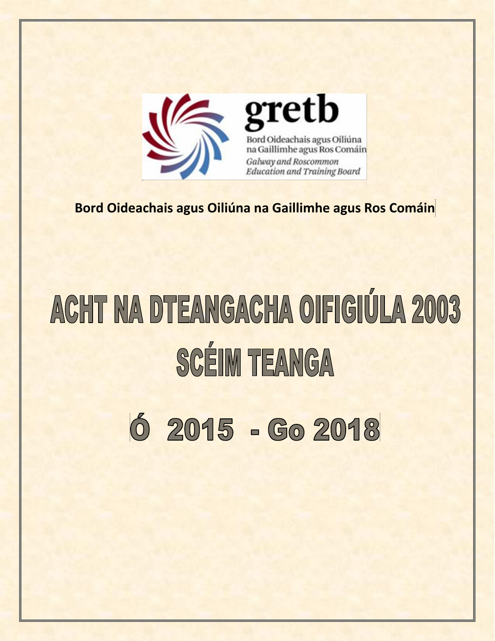

gretb Bord Oideachais agus Oiliúna na Gaillimhe agus Ros Comáin Galway and Roscommon **Education and Training Board** 

**Bord Oideachais agus Oiliúna na Gaillimhe agus Ros Comáin**

# ACHT NA DTEANGACHA OIFIGIÚLA 2003 **SCÉIM TEANGA**

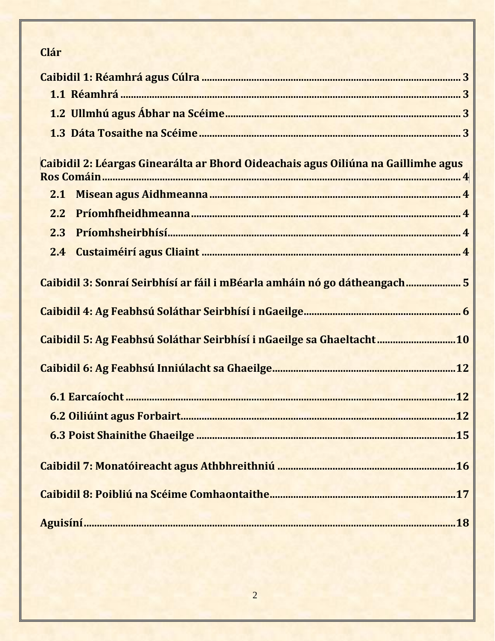# Clár

| Caibidil 2: Léargas Ginearálta ar Bhord Oideachais agus Oiliúna na Gaillimhe agus |  |
|-----------------------------------------------------------------------------------|--|
| 2.2                                                                               |  |
| 2.3                                                                               |  |
|                                                                                   |  |
| 2.4                                                                               |  |
| Caibidil 3: Sonraí Seirbhísí ar fáil i mBéarla amháin nó go dátheangach5          |  |
|                                                                                   |  |
| Caibidil 5: Ag Feabhsú Soláthar Seirbhísí i nGaeilge sa Ghaeltacht10              |  |
|                                                                                   |  |
|                                                                                   |  |
|                                                                                   |  |
|                                                                                   |  |
|                                                                                   |  |
|                                                                                   |  |
|                                                                                   |  |
|                                                                                   |  |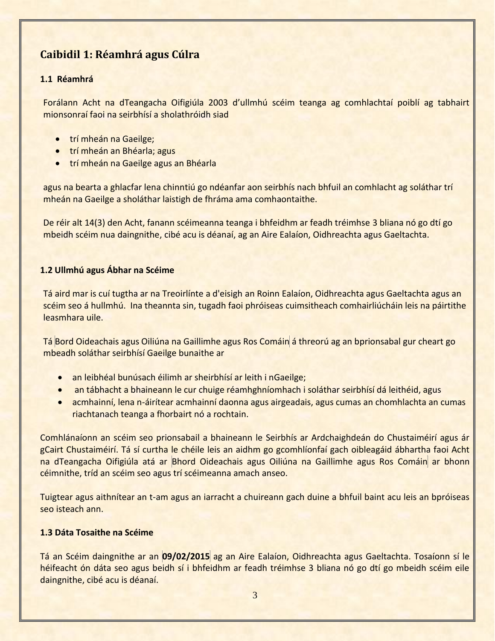## <span id="page-2-0"></span>**Caibidil 1: Réamhrá agus Cúlra**

### <span id="page-2-1"></span>**1.1 Réamhrá**

Forálann Acht na dTeangacha Oifigiúla 2003 d'ullmhú scéim teanga ag comhlachtaí poiblí ag tabhairt mionsonraí faoi na seirbhísí a sholathróidh siad

- **•** trí mheán na Gaeilge;
- **•** trí mheán an Bhéarla; agus
- **trí mheán na Gaeilge agus an Bhéarla**

agus na bearta a ghlacfar lena chinntiú go ndéanfar aon seirbhís nach bhfuil an comhlacht ag soláthar trí mheán na Gaeilge a sholáthar laistigh de fhráma ama comhaontaithe.

De réir alt 14(3) den Acht, fanann scéimeanna teanga i bhfeidhm ar feadh tréimhse 3 bliana nó go dtí go mbeidh scéim nua daingnithe, cibé acu is déanaí, ag an Aire Ealaíon, Oidhreachta agus Gaeltachta.

### <span id="page-2-2"></span>**1.2 Ullmhú agus Ábhar na Scéime**

Tá aird mar is cuí tugtha ar na Treoirlínte a d'eisigh an Roinn Ealaíon, Oidhreachta agus Gaeltachta agus an scéim seo á hullmhú. Ina theannta sin, tugadh faoi phróiseas cuimsitheach comhairliúcháin leis na páirtithe leasmhara uile.

Tá Bord Oideachais agus Oiliúna na Gaillimhe agus Ros Comáin á threorú ag an bprionsabal gur cheart go mbeadh soláthar seirbhísí Gaeilge bunaithe ar

- an leibhéal bunúsach éilimh ar sheirbhísí ar leith i nGaeilge;
- an tábhacht a bhaineann le cur chuige réamhghníomhach i soláthar seirbhísí dá leithéid, agus
- acmhainní, lena n-áirítear acmhainní daonna agus airgeadais, agus cumas an chomhlachta an cumas riachtanach teanga a fhorbairt nó a rochtain.

Comhlánaíonn an scéim seo prionsabail a bhaineann le Seirbhís ar Ardchaighdeán do Chustaiméirí agus ár gCairt Chustaiméirí. Tá sí curtha le chéile leis an aidhm go gcomhlíonfaí gach oibleagáid ábhartha faoi Acht na dTeangacha Oifigiúla atá ar Bhord Oideachais agus Oiliúna na Gaillimhe agus Ros Comáin ar bhonn céimnithe, tríd an scéim seo agus trí scéimeanna amach anseo.

Tuigtear agus aithnítear an t-am agus an iarracht a chuireann gach duine a bhfuil baint acu leis an bpróiseas seo isteach ann.

### <span id="page-2-3"></span>**1.3 Dáta Tosaithe na Scéime**

<span id="page-2-4"></span>Tá an Scéim daingnithe ar an **09/02/2015** ag an Aire Ealaíon, Oidhreachta agus Gaeltachta. Tosaíonn sí le héifeacht ón dáta seo agus beidh sí i bhfeidhm ar feadh tréimhse 3 bliana nó go dtí go mbeidh scéim eile daingnithe, cibé acu is déanaí.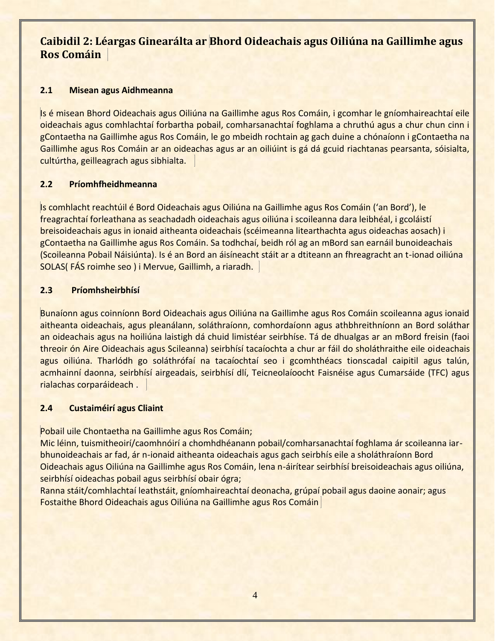## **Caibidil 2: Léargas Ginearálta ar Bhord Oideachais agus Oiliúna na Gaillimhe agus Ros Comáin**

## <span id="page-3-0"></span>**2.1 Misean agus Aidhmeanna**

Is é misean Bhord Oideachais agus Oiliúna na Gaillimhe agus Ros Comáin, i gcomhar le gníomhaireachtaí eile oideachais agus comhlachtaí forbartha pobail, comharsanachtaí foghlama a chruthú agus a chur chun cinn i gContaetha na Gaillimhe agus Ros Comáin, le go mbeidh rochtain ag gach duine a chónaíonn i gContaetha na Gaillimhe agus Ros Comáin ar an oideachas agus ar an oiliúint is gá dá gcuid riachtanas pearsanta, sóisialta, cultúrtha, geilleagrach agus sibhialta.

## <span id="page-3-1"></span>**2.2 Príomhfheidhmeanna**

Is comhlacht reachtúil é Bord Oideachais agus Oiliúna na Gaillimhe agus Ros Comáin ('an Bord'), le freagrachtaí forleathana as seachadadh oideachais agus oiliúna i scoileanna dara leibhéal, i gcoláistí breisoideachais agus in ionaid aitheanta oideachais (scéimeanna litearthachta agus oideachas aosach) i gContaetha na Gaillimhe agus Ros Comáin. Sa todhchaí, beidh ról ag an mBord san earnáil bunoideachais (Scoileanna Pobail Náisiúnta). Is é an Bord an áisíneacht stáit ar a dtiteann an fhreagracht an t-ionad oiliúna SOLAS( FÁS roimhe seo ) i Mervue, Gaillimh, a riaradh.

## <span id="page-3-2"></span>**2.3 Príomhsheirbhísí**

Bunaíonn agus coinníonn Bord Oideachais agus Oiliúna na Gaillimhe agus Ros Comáin scoileanna agus ionaid aitheanta oideachais, agus pleanálann, soláthraíonn, comhordaíonn agus athbhreithníonn an Bord soláthar an oideachais agus na hoiliúna laistigh dá chuid limistéar seirbhíse. Tá de dhualgas ar an mBord freisin (faoi threoir ón Aire Oideachais agus Scileanna) seirbhísí tacaíochta a chur ar fáil do sholáthraithe eile oideachais agus oiliúna. Tharlódh go soláthrófaí na tacaíochtaí seo i gcomhthéacs tionscadal caipitil agus talún, acmhainní daonna, seirbhísí airgeadais, seirbhísí dlí, Teicneolaíoocht Faisnéise agus Cumarsáide (TFC) agus rialachas corparáideach .

## <span id="page-3-3"></span>**2.4 Custaiméirí agus Cliaint**

Pobail uile Chontaetha na Gaillimhe agus Ros Comáin;

Mic léinn, tuismitheoirí/caomhnóirí a chomhdhéanann pobail/comharsanachtaí foghlama ár scoileanna iarbhunoideachais ar fad, ár n-ionaid aitheanta oideachais agus gach seirbhís eile a sholáthraíonn Bord Oideachais agus Oiliúna na Gaillimhe agus Ros Comáin, lena n-áirítear seirbhísí breisoideachais agus oiliúna, seirbhísí oideachas pobail agus seirbhísí obair ógra;

<span id="page-3-4"></span>Ranna stáit/comhlachtaí leathstáit, gníomhaireachtaí deonacha, grúpaí pobail agus daoine aonair; agus Fostaithe Bhord Oideachais agus Oiliúna na Gaillimhe agus Ros Comáin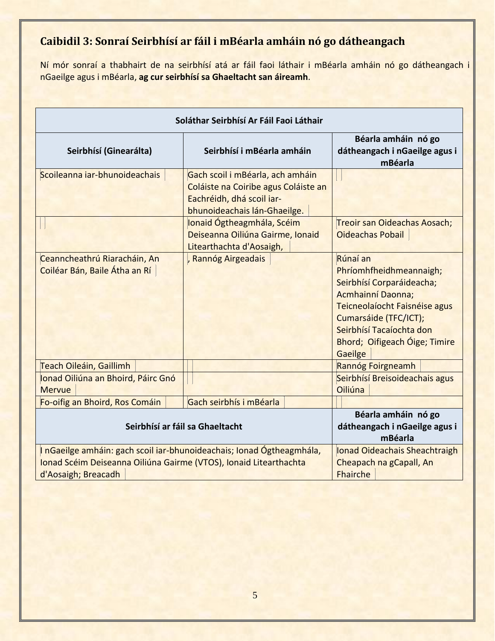# **Caibidil 3: Sonraí Seirbhísí ar fáil i mBéarla amháin nó go dátheangach**

Ní mór sonraí a thabhairt de na seirbhísí atá ar fáil faoi láthair i mBéarla amháin nó go dátheangach i nGaeilge agus i mBéarla, **ag cur seirbhísí sa Ghaeltacht san áireamh**.

| Soláthar Seirbhísí Ar Fáil Faoi Láthair                                                                                                                           |                                                                                                                                       |                                                                                                                                                                                                                                |  |
|-------------------------------------------------------------------------------------------------------------------------------------------------------------------|---------------------------------------------------------------------------------------------------------------------------------------|--------------------------------------------------------------------------------------------------------------------------------------------------------------------------------------------------------------------------------|--|
| Seirbhísí (Ginearálta)                                                                                                                                            | Seirbhísí i mBéarla amháin                                                                                                            | Béarla amháin nó go<br>dátheangach i nGaeilge agus i<br>mBéarla                                                                                                                                                                |  |
| Scoileanna iar-bhunoideachais                                                                                                                                     | Gach scoil i mBéarla, ach amháin<br>Coláiste na Coiribe agus Coláiste an<br>Eachréidh, dhá scoil iar-<br>bhunoideachais lán-Ghaeilge. |                                                                                                                                                                                                                                |  |
|                                                                                                                                                                   | Ionaid Ógtheagmhála, Scéim<br>Deiseanna Oiliúna Gairme, Ionaid<br>Litearthachta d'Aosaigh,                                            | Treoir san Oideachas Aosach;<br><b>Oideachas Pobail</b>                                                                                                                                                                        |  |
| Ceanncheathrú Riaracháin, An<br>Coiléar Bán, Baile Átha an Rí                                                                                                     | , Rannóg Airgeadais                                                                                                                   | Rúnaí an<br>Phríomhfheidhmeannaigh;<br>Seirbhísí Corparáideacha;<br><b>Acmhainní Daonna;</b><br>Teicneolaíocht Faisnéise agus<br>Cumarsáide (TFC/ICT);<br>Seirbhísí Tacaíochta don<br>Bhord; Oifigeach Óige; Timire<br>Gaeilge |  |
| <b>Teach Oileáin, Gaillimh</b>                                                                                                                                    |                                                                                                                                       | Rannóg Foirgneamh                                                                                                                                                                                                              |  |
| Ionad Oiliúna an Bhoird, Páirc Gnó<br><b>Mervue</b>                                                                                                               |                                                                                                                                       | Seirbhísí Breisoideachais agus<br>Oiliúna                                                                                                                                                                                      |  |
| Fo-oifig an Bhoird, Ros Comáin                                                                                                                                    | Gach seirbhís i mBéarla                                                                                                               |                                                                                                                                                                                                                                |  |
| Seirbhísí ar fáil sa Ghaeltacht                                                                                                                                   |                                                                                                                                       | Béarla amháin nó go<br>dátheangach i nGaeilge agus i<br>mBéarla                                                                                                                                                                |  |
| I nGaeilge amháin: gach scoil iar-bhunoideachais; Ionad Ógtheagmhála,<br>Ionad Scéim Deiseanna Oiliúna Gairme (VTOS), Ionaid Litearthachta<br>d'Aosaigh; Breacadh |                                                                                                                                       | Ionad Oideachais Sheachtraigh<br>Cheapach na gCapall, An<br><b>Fhairche</b>                                                                                                                                                    |  |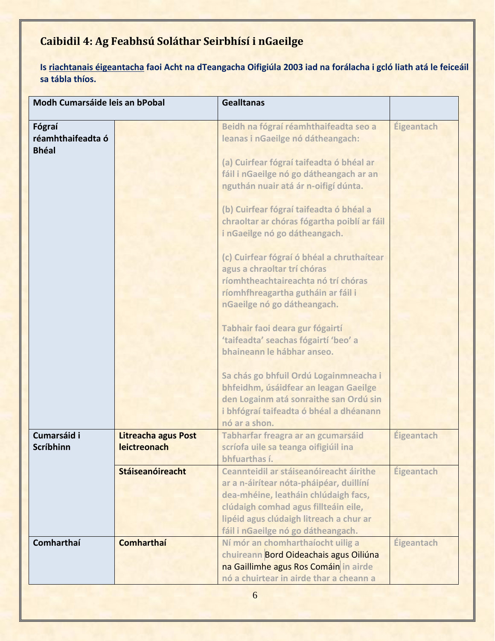# <span id="page-5-0"></span>**Caibidil 4: Ag Feabhsú Soláthar Seirbhísí i nGaeilge**

**Is riachtanais éigeantacha faoi Acht na dTeangacha Oifigiúla 2003 iad na forálacha i gcló liath atá le feiceáil sa tábla thíos.**

| Modh Cumarsáide leis an bPobal              |                                            | <b>Gealltanas</b>                                                                                                                                                                                                                                                                                                                                                                                                                                                                                                                                                                                                                                                                                                                                                                                                               |            |
|---------------------------------------------|--------------------------------------------|---------------------------------------------------------------------------------------------------------------------------------------------------------------------------------------------------------------------------------------------------------------------------------------------------------------------------------------------------------------------------------------------------------------------------------------------------------------------------------------------------------------------------------------------------------------------------------------------------------------------------------------------------------------------------------------------------------------------------------------------------------------------------------------------------------------------------------|------------|
| Fógraí<br>réamhthaifeadta ó<br><b>Bhéal</b> |                                            | Beidh na fógraí réamhthaifeadta seo a<br>leanas i nGaeilge nó dátheangach:<br>(a) Cuirfear fógraí taifeadta ó bhéal ar<br>fáil i nGaeilge nó go dátheangach ar an<br>nguthán nuair atá ár n-oifigí dúnta.<br>(b) Cuirfear fógraí taifeadta ó bhéal a<br>chraoltar ar chóras fógartha poiblí ar fáil<br>i nGaeilge nó go dátheangach.<br>(c) Cuirfear fógraí ó bhéal a chruthaítear<br>agus a chraoltar trí chóras<br>ríomhtheachtaireachta nó trí chóras<br>ríomhfhreagartha gutháin ar fáil i<br>nGaeilge nó go dátheangach.<br>Tabhair faoi deara gur fógairtí<br>'taifeadta' seachas fógairtí 'beo' a<br>bhaineann le hábhar anseo.<br>Sa chás go bhfuil Ordú Logainmneacha i<br>bhfeidhm, úsáidfear an leagan Gaeilge<br>den Logainm atá sonraithe san Ordú sin<br>i bhfógraí taifeadta ó bhéal a dhéanann<br>nó ar a shon. | Éigeantach |
| Cumarsáid i<br><b>Scríbhinn</b>             | <b>Litreacha agus Post</b><br>leictreonach | Tabharfar freagra ar an gcumarsáid<br>scríofa uile sa teanga oifigiúil ina<br>bhfuarthas í.                                                                                                                                                                                                                                                                                                                                                                                                                                                                                                                                                                                                                                                                                                                                     | Éigeantach |
|                                             | <b>Stáiseanóireacht</b>                    | Ceannteidil ar stáiseanóireacht áirithe<br>ar a n-áirítear nóta-pháipéar, duillíní<br>dea-mhéine, leatháin chlúdaigh facs,<br>clúdaigh comhad agus fillteáin eile,<br>lipéid agus clúdaigh litreach a chur ar<br>fáil i nGaeilge nó go dátheangach.                                                                                                                                                                                                                                                                                                                                                                                                                                                                                                                                                                             | Éigeantach |
| Comharthaí                                  | <b>Comharthaí</b>                          | Ní mór an chomharthaíocht uilig a<br>chuireann Bord Oideachais agus Oiliúna<br>na Gaillimhe agus Ros Comáin in airde<br>nó a chuirtear in airde thar a cheann a                                                                                                                                                                                                                                                                                                                                                                                                                                                                                                                                                                                                                                                                 | Éigeantach |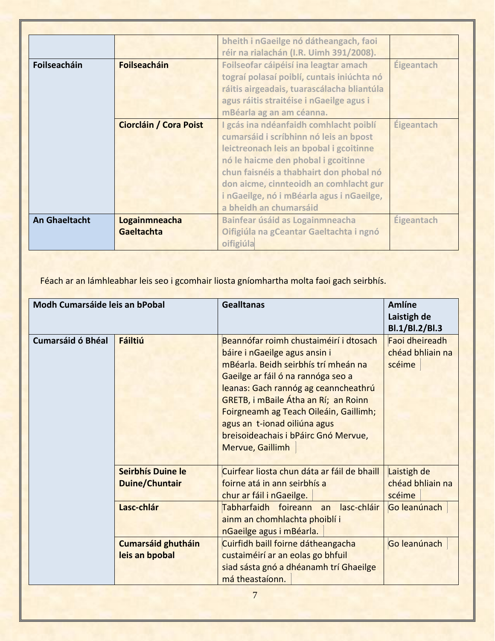|                      |                               | bheith i nGaeilge nó dátheangach, faoi<br>réir na rialachán (I.R. Uimh 391/2008).                                                                                                                                                                                                                                              |                   |
|----------------------|-------------------------------|--------------------------------------------------------------------------------------------------------------------------------------------------------------------------------------------------------------------------------------------------------------------------------------------------------------------------------|-------------------|
| Foilseacháin         | <b>Foilseacháin</b>           | Foilseofar cáipéisí ina leagtar amach<br>tograí polasaí poiblí, cuntais iniúchta nó<br>ráitis airgeadais, tuarascálacha bliantúla<br>agus ráitis straitéise i nGaeilge agus i<br>mBéarla ag an am céanna.                                                                                                                      | Éigeantach        |
|                      | <b>Ciorcláin / Cora Poist</b> | I gcás ina ndéanfaidh comhlacht poiblí<br>cumarsáid i scríbhinn nó leis an bpost<br>leictreonach leis an bpobal i gcoitinne<br>nó le haicme den phobal i gcoitinne<br>chun faisnéis a thabhairt don phobal nó<br>don aicme, cinnteoidh an comhlacht gur<br>i nGaeilge, nó i mBéarla agus i nGaeilge,<br>a bheidh an chumarsáid | <b>Éigeantach</b> |
| <b>An Ghaeltacht</b> | Logainmneacha<br>Gaeltachta   | <b>Bainfear úsáid as Logainmneacha</b><br>Oifigiúla na gCeantar Gaeltachta i ngnó<br>oifigiúla                                                                                                                                                                                                                                 | Éigeantach        |

Féach ar an lámhleabhar leis seo i gcomhair liosta gníomhartha molta faoi gach seirbhís.

| Modh Cumarsáide leis an bPobal |                           | <b>Gealltanas</b>                                                                                                                                                                                                                                                                                                                                                                  | <b>Amlíne</b><br>Laistigh de<br>Bl.1/Bl.2/Bl.3 |
|--------------------------------|---------------------------|------------------------------------------------------------------------------------------------------------------------------------------------------------------------------------------------------------------------------------------------------------------------------------------------------------------------------------------------------------------------------------|------------------------------------------------|
| <b>Cumarsáid ó Bhéal</b>       | <b>Fáiltiú</b>            | Beannófar roimh chustaiméirí i dtosach<br>báire i nGaeilge agus ansin i<br>mBéarla. Beidh seirbhís trí mheán na<br>Gaeilge ar fáil ó na rannóga seo a<br>leanas: Gach rannóg ag ceanncheathrú<br><b>GRETB, i mBaile Átha an Rí; an Roinn</b><br>Foirgneamh ag Teach Oileáin, Gaillimh;<br>agus an t-ionad oiliúna agus<br>breisoideachais i bPáirc Gnó Mervue,<br>Mervue, Gaillimh | Faoi dheireadh<br>chéad bhliain na<br>scéime   |
|                                | Seirbhís Duine le         | Cuirfear liosta chun dáta ar fáil de bhaill                                                                                                                                                                                                                                                                                                                                        | Laistigh de                                    |
|                                | <b>Duine/Chuntair</b>     | foirne atá in ann seirbhís a<br>chur ar fáil i nGaeilge.                                                                                                                                                                                                                                                                                                                           | chéad bhliain na<br>scéime                     |
|                                | Lasc-chlár                | Tabharfaidh foireann an lasc-chláir<br>ainm an chomhlachta phoiblí i<br>nGaeilge agus i mBéarla.                                                                                                                                                                                                                                                                                   | Go leanúnach                                   |
|                                | <b>Cumarsáid ghutháin</b> | Cuirfidh baill foirne dátheangacha                                                                                                                                                                                                                                                                                                                                                 | Go leanúnach                                   |
|                                | leis an bpobal            | custaiméirí ar an eolas go bhfuil<br>siad sásta gnó a dhéanamh trí Ghaeilge<br>má theastaíonn.                                                                                                                                                                                                                                                                                     |                                                |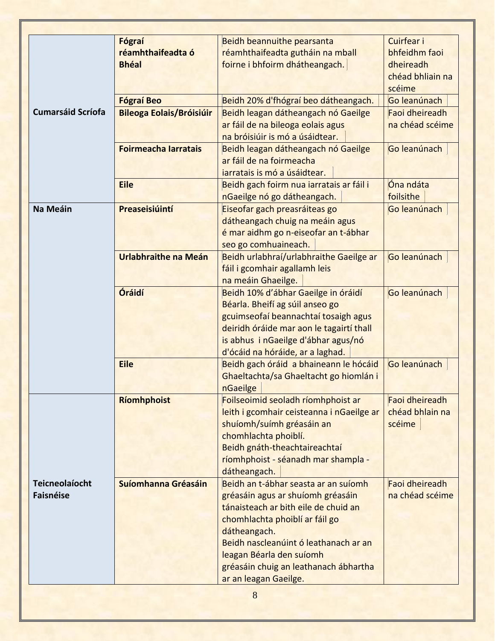|                          | Fógraí                          | <b>Beidh beannuithe pearsanta</b>                     | Cuirfear i       |
|--------------------------|---------------------------------|-------------------------------------------------------|------------------|
|                          | réamhthaifeadta ó               | réamhthaifeadta gutháin na mball                      | bhfeidhm faoi    |
|                          | <b>Bhéal</b>                    | foirne i bhfoirm dhátheangach.                        | dheireadh        |
|                          |                                 |                                                       | chéad bhliain na |
|                          |                                 |                                                       | scéime           |
|                          | <b>Fógraí Beo</b>               | Beidh 20% d'fhógraí beo dátheangach.                  | Go leanúnach     |
| <b>Cumarsáid Scríofa</b> | <b>Bileoga Eolais/Bróisiúir</b> | Beidh leagan dátheangach nó Gaeilge                   | Faoi dheireadh   |
|                          |                                 | ar fáil de na bileoga eolais agus                     | na chéad scéime  |
|                          |                                 | na bróisiúir is mó a úsáidtear.                       |                  |
|                          | <b>Foirmeacha Iarratais</b>     | Beidh leagan dátheangach nó Gaeilge                   | Go leanúnach     |
|                          |                                 | ar fáil de na foirmeacha                              |                  |
|                          |                                 | jarratais is mó a úsáidtear.                          |                  |
|                          | <b>Eile</b>                     | Beidh gach foirm nua iarratais ar fáil i              | Óna ndáta        |
|                          |                                 | nGaeilge nó go dátheangach.                           | foilsithe        |
| Na Meáin                 | Preaseisiúintí                  | Eiseofar gach preasráiteas go                         | Go leanúnach     |
|                          |                                 | dátheangach chuig na meáin agus                       |                  |
|                          |                                 | é mar aidhm go n-eiseofar an t-ábhar                  |                  |
|                          |                                 | seo go comhuaineach.                                  |                  |
|                          | Urlabhraithe na Meán            | Beidh urlabhraí/urlabhraithe Gaeilge ar               | Go leanúnach     |
|                          |                                 | fáil i gcomhair agallamh leis                         |                  |
|                          |                                 | na meáin Ghaeilge.                                    |                  |
|                          | Óráidí                          | Beidh 10% d'ábhar Gaeilge in óráidí                   | Go leanúnach     |
|                          |                                 | Béarla. Bheifí ag súil anseo go                       |                  |
|                          |                                 | gcuimseofaí beannachtaí tosaigh agus                  |                  |
|                          |                                 | deiridh óráide mar aon le tagairtí thall              |                  |
|                          |                                 | is abhus i nGaeilge d'ábhar agus/nó                   |                  |
|                          |                                 | d'ócáid na hóráide, ar a laghad.                      |                  |
|                          | <b>Eile</b>                     | Beidh gach óráid a bhaineann le hócáid                | Go leanúnach     |
|                          |                                 | Ghaeltachta/sa Ghaeltacht go hiomlán i                |                  |
|                          |                                 | nGaeilge                                              |                  |
|                          | Ríomhphoist                     | Foilseoimid seoladh ríomhphoist ar                    | Faoi dheireadh   |
|                          |                                 | leith i gcomhair ceisteanna i nGaeilge ar             | chéad bhlain na  |
|                          |                                 | shuíomh/suímh gréasáin an                             | scéime           |
|                          |                                 | chomhlachta phoiblí.                                  |                  |
|                          |                                 | Beidh gnáth-theachtaireachtaí                         |                  |
|                          |                                 | ríomhphoist - séanadh mar shampla -                   |                  |
|                          |                                 | dátheangach.                                          |                  |
| <b>Teicneolaíocht</b>    | Suíomhanna Gréasáin             | Beidh an t-ábhar seasta ar an suíomh                  | Faoi dheireadh   |
| <b>Faisnéise</b>         |                                 | gréasáin agus ar shuíomh gréasáin                     | na chéad scéime  |
|                          |                                 | tánaisteach ar bith eile de chuid an                  |                  |
|                          |                                 |                                                       |                  |
|                          |                                 | chomhlachta phoiblí ar fáil go                        |                  |
|                          |                                 | dátheangach.<br>Beidh nascleanúint ó leathanach ar an |                  |
|                          |                                 |                                                       |                  |
|                          |                                 | leagan Béarla den suíomh                              |                  |
|                          |                                 | gréasáin chuig an leathanach ábhartha                 |                  |
|                          |                                 | ar an leagan Gaeilge.                                 |                  |
|                          |                                 | 8                                                     |                  |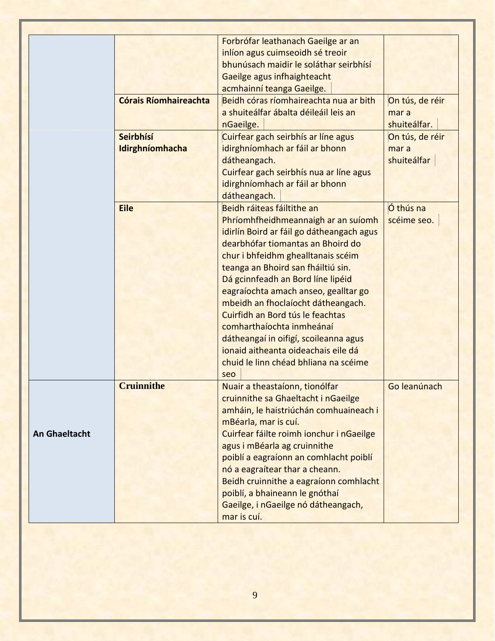<span id="page-8-0"></span>

|                      |                              | Forbrófar leathanach Gaeilge ar an        |                 |
|----------------------|------------------------------|-------------------------------------------|-----------------|
|                      |                              | inlíon agus cuimseoidh sé treoir          |                 |
|                      |                              | bhunúsach maidir le soláthar seirbhísí    |                 |
|                      |                              | Gaeilge agus infhaighteacht               |                 |
|                      |                              | acmhainní teanga Gaeilge.                 |                 |
|                      | <b>Córais Ríomhaireachta</b> | Beidh córas ríomhaireachta nua ar bith    | On tús, de réir |
|                      |                              | a shuiteálfar ábalta déileáil leis an     | mar a           |
|                      |                              | nGaeilge.                                 | shuiteálfar.    |
|                      | Seirbhísí                    | Cuirfear gach seirbhís ar líne agus       | On tús, de réir |
|                      | Idirghníomhacha              | idirghníomhach ar fáil ar bhonn           | mar a           |
|                      |                              | dátheangach.                              | shuiteálfar     |
|                      |                              | Cuirfear gach seirbhís nua ar líne agus   |                 |
|                      |                              | idirghníomhach ar fáil ar bhonn           |                 |
|                      |                              | dátheangach.                              |                 |
|                      | <b>Eile</b>                  | Beidh ráiteas fáiltithe an                | Ó thús na       |
|                      |                              | Phríomhfheidhmeannaigh ar an suíomh       | scéime seo.     |
|                      |                              | idirlín Boird ar fáil go dátheangach agus |                 |
|                      |                              | dearbhófar tiomantas an Bhoird do         |                 |
|                      |                              | chur i bhfeidhm ghealltanais scéim        |                 |
|                      |                              | teanga an Bhoird san fháiltiú sin.        |                 |
|                      |                              | Dá gcinnfeadh an Bord líne lipéid         |                 |
|                      |                              | eagraíochta amach anseo, gealltar go      |                 |
|                      |                              | mbeidh an fhoclaíocht dátheangach.        |                 |
|                      |                              | Cuirfidh an Bord tús le feachtas          |                 |
|                      |                              | comharthaíochta inmheánaí                 |                 |
|                      |                              | dátheangaí in oifigí, scoileanna agus     |                 |
|                      |                              | ionaid aitheanta oideachais eile dá       |                 |
|                      |                              | chuid le linn chéad bhliana na scéime     |                 |
|                      |                              | seo                                       |                 |
|                      | <b>Cruinnithe</b>            | Nuair a theastaíonn, tionólfar            | Go leanúnach    |
|                      |                              | cruinnithe sa Ghaeltacht i nGaeilge       |                 |
|                      |                              | amháin, le haistriúchán comhuaineach i    |                 |
|                      |                              | mBéarla, mar is cuí.                      |                 |
| <b>An Ghaeltacht</b> |                              | Cuirfear fáilte roimh ionchur i nGaeilge  |                 |
|                      |                              |                                           |                 |
|                      |                              | agus i mBéarla ag cruinnithe              |                 |
|                      |                              | poiblí a eagraíonn an comhlacht poiblí    |                 |
|                      |                              | nó a eagraítear thar a cheann.            |                 |
|                      |                              | Beidh cruinnithe a eagraíonn comhlacht    |                 |
|                      |                              | poiblí, a bhaineann le gnóthaí            |                 |
|                      |                              | Gaeilge, i nGaeilge nó dátheangach,       |                 |
|                      |                              | mar is cuí.                               |                 |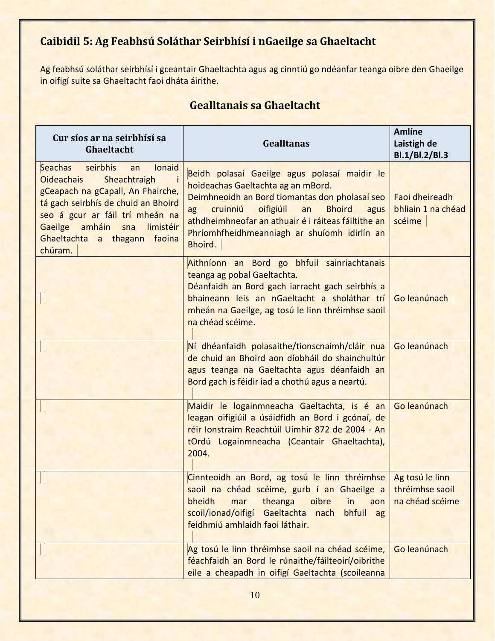# **Caibidil 5: Ag Feabhsú Soláthar Seirbhísí i nGaeilge sa Ghaeltacht**

Ag feabhsú soláthar seirbhísí i gceantair Ghaeltachta agus ag cinntiú go ndéanfar teanga oibre den Ghaeilge in oifigí suite sa Ghaeltacht faoi dháta áirithe.

| Cur síos ar na seirbhísí sa<br>Ghaeltacht                                                                                                                                                                                                                                | <b>Gealltanas</b>                                                                                                                                                                                                                                                                                                 | <b>Amlíne</b><br>Laistigh de<br>Bl.1/Bl.2/Bl.3        |
|--------------------------------------------------------------------------------------------------------------------------------------------------------------------------------------------------------------------------------------------------------------------------|-------------------------------------------------------------------------------------------------------------------------------------------------------------------------------------------------------------------------------------------------------------------------------------------------------------------|-------------------------------------------------------|
| Seachas<br>seirbhís<br>Ionaid<br>an<br><b>Oideachais</b><br>Sheachtraigh<br>gCeapach na gCapall, An Fhairche,<br>tá gach seirbhís de chuid an Bhoird<br>seo á gcur ar fáil trí mheán na<br>Gaeilge amháin sna<br>limistéir<br>Ghaeltachta a thagann<br>faoina<br>chúram. | Beidh polasaí Gaeilge agus polasaí maidir le<br>hoideachas Gaeltachta ag an mBord.<br>Deimhneoidh an Bord tiomantas don pholasaí seo<br>oifigiúil<br>ag cruinniú<br>an<br><b>Bhoird</b><br>agus<br>athdheimhneofar an athuair é i ráiteas fáiltithe an<br>Phríomhfheidhmeanniagh ar shuíomh idirlín an<br>Bhoird. | Faoi dheireadh<br>bhliain 1 na chéad<br>scéime        |
|                                                                                                                                                                                                                                                                          | Aithníonn an Bord go bhfuil sainriachtanais<br>teanga ag pobal Gaeltachta.<br>Déanfaidh an Bord gach iarracht gach seirbhís a<br>bhaineann leis an nGaeltacht a sholáthar trí<br>mheán na Gaeilge, ag tosú le linn thréimhse saoil<br>na chéad scéime.                                                            | Go leanúnach                                          |
|                                                                                                                                                                                                                                                                          | Ní dhéanfaidh polasaithe/tionscnaimh/cláir nua<br>de chuid an Bhoird aon díobháil do shainchultúr<br>agus teanga na Gaeltachta agus déanfaidh an<br>Bord gach is féidir iad a chothú agus a neartú.                                                                                                               | Go leanúnach                                          |
|                                                                                                                                                                                                                                                                          | Maidir le logainmneacha Gaeltachta, is é an<br>leagan oifigiúil a úsáidfidh an Bord i gcónaí, de<br>réir Ionstraim Reachtúil Uimhir 872 de 2004 - An<br>tOrdú Logainmneacha (Ceantair Ghaeltachta),<br>2004.                                                                                                      | Go leanúnach                                          |
|                                                                                                                                                                                                                                                                          | Cinnteoidh an Bord, ag tosú le linn thréimhse<br>saoil na chéad scéime, gurb í an Ghaeilge a<br>bheidh<br>theanga<br>oibre<br>mar<br>in<br>aon<br>scoil/ionad/oifigí Gaeltachta<br>bhfuil ag<br>nach<br>feidhmiú amhlaidh faoi láthair.                                                                           | Ag tosú le linn<br>thréimhse saoil<br>na chéad scéime |
|                                                                                                                                                                                                                                                                          | Ag tosú le linn thréimhse saoil na chéad scéime,<br>féachfaidh an Bord le rúnaithe/fáilteoirí/oibrithe<br>eile a cheapadh in oifigí Gaeltachta (scoileanna                                                                                                                                                        | Go leanúnach                                          |

# **Gealltanais sa Ghaeltacht**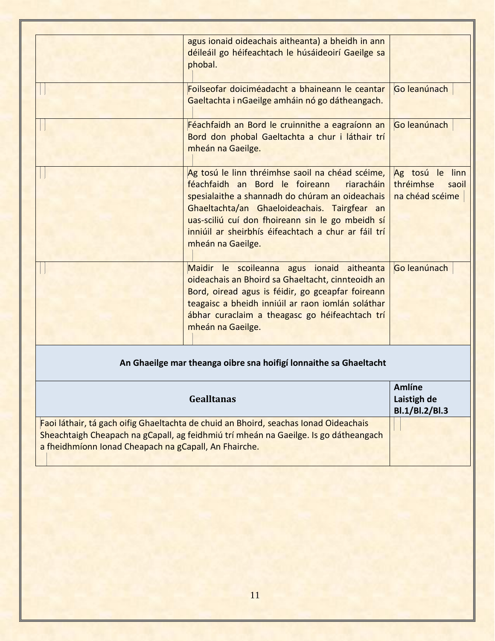|                                                                   | agus ionaid oideachais aitheanta) a bheidh in ann<br>déileáil go héifeachtach le húsáideoirí Gaeilge sa<br>phobal.                                                                                                                                                                                                                  |                                                          |
|-------------------------------------------------------------------|-------------------------------------------------------------------------------------------------------------------------------------------------------------------------------------------------------------------------------------------------------------------------------------------------------------------------------------|----------------------------------------------------------|
|                                                                   | Foilseofar doiciméadacht a bhaineann le ceantar<br>Gaeltachta i nGaeilge amháin nó go dátheangach.                                                                                                                                                                                                                                  | Go leanúnach                                             |
|                                                                   | Féachfaidh an Bord le cruinnithe a eagraíonn an<br>Bord don phobal Gaeltachta a chur i láthair trí<br>mheán na Gaeilge.                                                                                                                                                                                                             | Go leanúnach                                             |
|                                                                   | Ag tosú le linn thréimhse saoil na chéad scéime,<br>féachfaidh an Bord le foireann<br>riaracháin<br>spesialaithe a shannadh do chúram an oideachais<br>Ghaeltachta/an Ghaeloideachais. Tairgfear an<br>uas-sciliú cuí don fhoireann sin le go mbeidh sí<br>inniúil ar sheirbhís éifeachtach a chur ar fáil trí<br>mheán na Gaeilge. | Ag tosú le linn<br>thréimhse<br>saoil<br>na chéad scéime |
|                                                                   | Maidir le scoileanna agus ionaid aitheanta<br>oideachais an Bhoird sa Ghaeltacht, cinnteoidh an<br>Bord, oiread agus is féidir, go gceapfar foireann<br>teagaisc a bheidh inniúil ar raon iomlán soláthar<br>ábhar curaclaim a theagasc go héifeachtach trí<br>mheán na Gaeilge.                                                    | Go leanúnach                                             |
| An Ghaeilge mar theanga oibre sna hoifigí lonnaithe sa Ghaeltacht |                                                                                                                                                                                                                                                                                                                                     |                                                          |
|                                                                   | <b>Gealltanas</b>                                                                                                                                                                                                                                                                                                                   | <b>Amlíne</b><br>Laistigh de<br>Bl.1/Bl.2/Bl.3           |

Faoi láthair, tá gach oifig Ghaeltachta de chuid an Bhoird, seachas Ionad Oideachais Sheachtaigh Cheapach na gCapall, ag feidhmiú trí mheán na Gaeilge. Is go dátheangach a fheidhmíonn Ionad Cheapach na gCapall, An Fhairche.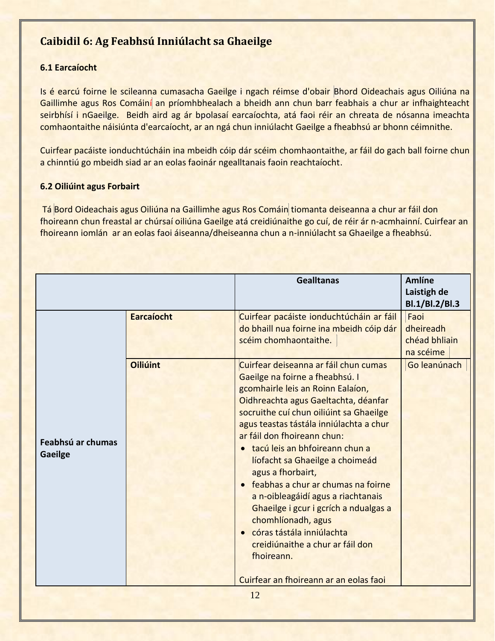# <span id="page-11-0"></span>**Caibidil 6: Ag Feabhsú Inniúlacht sa Ghaeilge**

## <span id="page-11-1"></span>**6.1 Earcaíocht**

Is é earcú foirne le scileanna cumasacha Gaeilge i ngach réimse d'obair Bhord Oideachais agus Oiliúna na Gaillimhe agus Ros Comáiní an príomhbhealach a bheidh ann chun barr feabhais a chur ar infhaighteacht seirbhísí i nGaeilge. Beidh aird ag ár bpolasaí earcaíochta, atá faoi réir an chreata de nósanna imeachta comhaontaithe náisiúnta d'earcaíocht, ar an ngá chun inniúlacht Gaeilge a fheabhsú ar bhonn céimnithe.

Cuirfear pacáiste ionduchtúcháin ina mbeidh cóip dár scéim chomhaontaithe, ar fáil do gach ball foirne chun a chinntiú go mbeidh siad ar an eolas faoinár ngealltanais faoin reachtaíocht.

### <span id="page-11-2"></span>**6.2 Oiliúint agus Forbairt**

Tá Bord Oideachais agus Oiliúna na Gaillimhe agus Ros Comáin tiomanta deiseanna a chur ar fáil don fhoireann chun freastal ar chúrsaí oiliúna Gaeilge atá creidiúnaithe go cuí, de réir ár n-acmhainní. Cuirfear an fhoireann iomlán ar an eolas faoi áiseanna/dheiseanna chun a n-inniúlacht sa Ghaeilge a fheabhsú.

| <b>Earcaíocht</b><br>scéim chomhaontaithe.<br><b>Oiliúint</b><br>ar fáil don fhoireann chun:<br>Feabhsú ar chumas<br><b>Gaeilge</b> |                                                                                                                                                                                                                                                                                                                                                                                                                                                                                                                                                        | Laistigh de<br>Bl.1/Bl.2/Bl.3                   |
|-------------------------------------------------------------------------------------------------------------------------------------|--------------------------------------------------------------------------------------------------------------------------------------------------------------------------------------------------------------------------------------------------------------------------------------------------------------------------------------------------------------------------------------------------------------------------------------------------------------------------------------------------------------------------------------------------------|-------------------------------------------------|
|                                                                                                                                     | Cuirfear pacáiste ionduchtúcháin ar fáil<br>do bhaill nua foirne ina mbeidh cóip dár                                                                                                                                                                                                                                                                                                                                                                                                                                                                   | Faoi<br>dheireadh<br>chéad bhliain<br>na scéime |
| agus a fhorbairt,<br>chomhlíonadh, agus<br>fhoireann.                                                                               | Cuirfear deiseanna ar fáil chun cumas<br>Gaeilge na foirne a fheabhsú. I<br>gcomhairle leis an Roinn Ealaíon,<br>Oidhreachta agus Gaeltachta, déanfar<br>socruithe cuí chun oiliúint sa Ghaeilge<br>agus teastas tástála inniúlachta a chur<br>· tacú leis an bhfoireann chun a<br>líofacht sa Ghaeilge a choimeád<br>• feabhas a chur ar chumas na foirne<br>a n-oibleagáidí agus a riachtanais<br>Ghaeilge i gcur i gcrích a ndualgas a<br>• córas tástála inniúlachta<br>creidiúnaithe a chur ar fáil don<br>Cuirfear an fhoireann ar an eolas faoi | Go leanúnach                                    |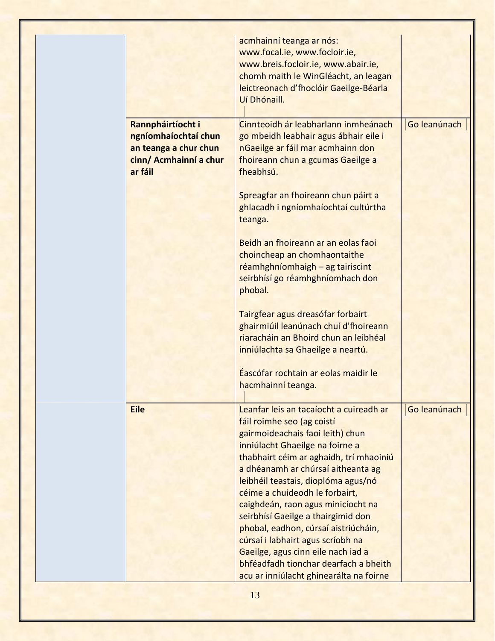|                                                                                                         | acmhainní teanga ar nós:<br>www.focal.ie, www.focloir.ie,<br>www.breis.focloir.ie, www.abair.ie,<br>chomh maith le WinGléacht, an leagan<br>leictreonach d'fhoclóir Gaeilge-Béarla<br>Uí Dhónaill.                                                                                                                                           |              |
|---------------------------------------------------------------------------------------------------------|----------------------------------------------------------------------------------------------------------------------------------------------------------------------------------------------------------------------------------------------------------------------------------------------------------------------------------------------|--------------|
| Rannpháirtíocht i<br>ngníomhaíochtaí chun<br>an teanga a chur chun<br>cinn/ Acmhainní a chur<br>ar fáil | Cinnteoidh ár leabharlann inmheánach<br>go mbeidh leabhair agus ábhair eile i<br>nGaeilge ar fáil mar acmhainn don<br>fhoireann chun a gcumas Gaeilge a<br>fheabhsú.                                                                                                                                                                         | Go leanúnach |
|                                                                                                         | Spreagfar an fhoireann chun páirt a<br>ghlacadh i ngníomhaíochtaí cultúrtha<br>teanga.                                                                                                                                                                                                                                                       |              |
|                                                                                                         | Beidh an fhoireann ar an eolas faoi<br>choincheap an chomhaontaithe<br>réamhghníomhaigh - ag tairiscint<br>seirbhísí go réamhghníomhach don<br>phobal.                                                                                                                                                                                       |              |
|                                                                                                         | Tairgfear agus dreasófar forbairt<br>ghairmiúil leanúnach chuí d'fhoireann<br>riaracháin an Bhoird chun an leibhéal<br>inniúlachta sa Ghaeilge a neartú.                                                                                                                                                                                     |              |
|                                                                                                         | Éascófar rochtain ar eolas maidir le<br>hacmhainní teanga.                                                                                                                                                                                                                                                                                   |              |
| <b>Eile</b>                                                                                             | Leanfar leis an tacaíocht a cuireadh ar<br>fáil roimhe seo (ag coistí<br>gairmoideachais faoi leith) chun<br>inniúlacht Ghaeilge na foirne a<br>thabhairt céim ar aghaidh, trí mhaoiniú<br>a dhéanamh ar chúrsaí aitheanta ag<br>leibhéil teastais, dioplóma agus/nó<br>céime a chuideodh le forbairt,<br>caighdeán, raon agus minicíocht na | Go leanúnach |
|                                                                                                         | seirbhísí Gaeilge a thairgimid don<br>phobal, eadhon, cúrsaí aistriúcháin,<br>cúrsaí i labhairt agus scríobh na<br>Gaeilge, agus cinn eile nach iad a<br>bhféadfadh tionchar dearfach a bheith<br>acu ar inniúlacht ghinearálta na foirne                                                                                                    |              |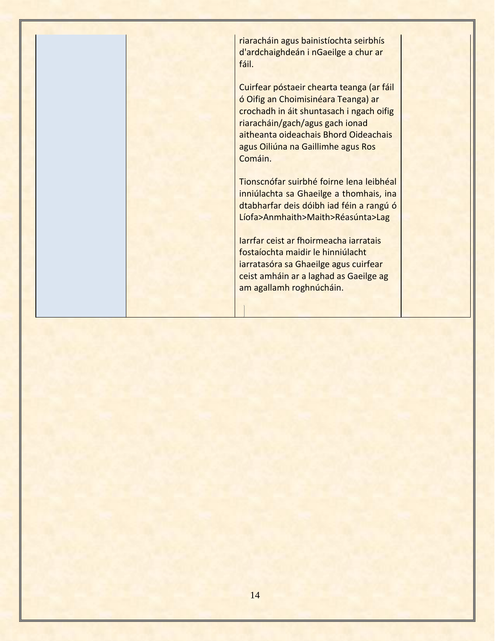fáil.

riaracháin agus bainistíochta seirbhís d'ardchaighdeán i nGaeilge a chur ar

Cuirfear póstaeir chearta teanga (ar fáil ó Oifig an Choimisinéara Teanga) ar crochadh in áit shuntasach i ngach oifig riaracháin/gach/agus gach ionad aitheanta oideachais Bhord Oideachais agus Oiliúna na Gaillimhe agus Ros Comáin.

Tionscnófar suirbhé foirne lena leibhéal inniúlachta sa Ghaeilge a thomhais, ina dtabharfar deis dóibh iad féin a rangú ó Líofa>Anmhaith>Maith>Réasúnta>Lag

Iarrfar ceist ar fhoirmeacha iarratais fostaíochta maidir le hinniúlacht iarratasóra sa Ghaeilge agus cuirfear ceist amháin ar a laghad as Gaeilge ag am agallamh roghnúcháin.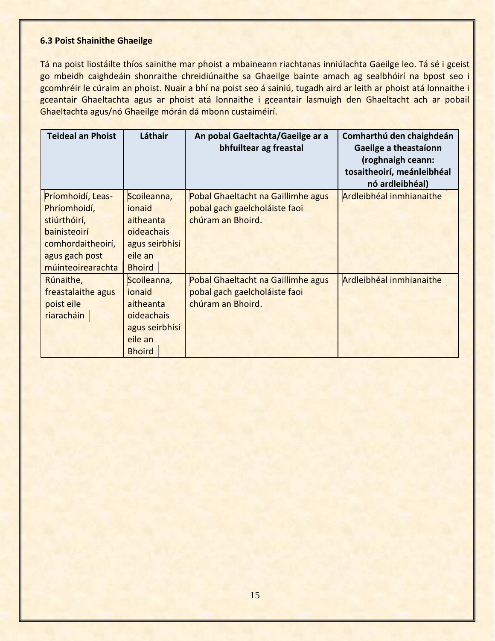#### <span id="page-14-0"></span>**6.3 Poist Shainithe Ghaeilge**

Tá na poist liostáilte thíos sainithe mar phoist a mbaineann riachtanas inniúlachta Gaeilge leo. Tá sé i gceist go mbeidh caighdeáin shonraithe chreidiúnaithe sa Ghaeilge bainte amach ag sealbhóirí na bpost seo i gcomhréir le cúraim an phoist. Nuair a bhí na poist seo á sainiú, tugadh aird ar leith ar phoist atá lonnaithe i gceantair Ghaeltachta agus ar phoist atá lonnaithe i gceantair lasmuigh den Ghaeltacht ach ar pobail Ghaeltachta agus/nó Ghaeilge mórán dá mbonn custaiméirí.

| <b>Teideal an Phoist</b> | Láthair        | An pobal Gaeltachta/Gaeilge ar a<br>bhfuiltear ag freastal | Comharthú den chaighdeán<br>Gaeilge a theastaíonn<br>(roghnaigh ceann:<br>tosaitheoirí, meánleibhéal<br>nó ardleibhéal) |
|--------------------------|----------------|------------------------------------------------------------|-------------------------------------------------------------------------------------------------------------------------|
| Príomhoidí, Leas-        | Scoileanna,    | Pobal Ghaeltacht na Gaillimhe agus                         | Ardleibhéal inmhianaithe                                                                                                |
| Phríomhoidí,             | ionaid         | pobal gach gaelcholáiste faoi                              |                                                                                                                         |
| stiúrthóirí,             | aitheanta      | chúram an Bhoird.                                          |                                                                                                                         |
| bainisteoirí             | oideachais     |                                                            |                                                                                                                         |
| comhordaitheoirí,        | agus seirbhísí |                                                            |                                                                                                                         |
| agus gach post           | eile an        |                                                            |                                                                                                                         |
| múinteoirearachta        | <b>Bhoird</b>  |                                                            |                                                                                                                         |
| Rúnaithe,                | Scoileanna,    | Pobal Ghaeltacht na Gaillimhe agus                         | Ardleibhéal inmhianaithe                                                                                                |
| freastalaithe agus       | ionaid         | pobal gach gaelcholáiste faoi                              |                                                                                                                         |
| poist eile               | aitheanta      | chúram an Bhoird.                                          |                                                                                                                         |
| riaracháin               | oideachais     |                                                            |                                                                                                                         |
|                          | agus seirbhísí |                                                            |                                                                                                                         |
|                          | eile an        |                                                            |                                                                                                                         |
|                          | <b>Bhoird</b>  |                                                            |                                                                                                                         |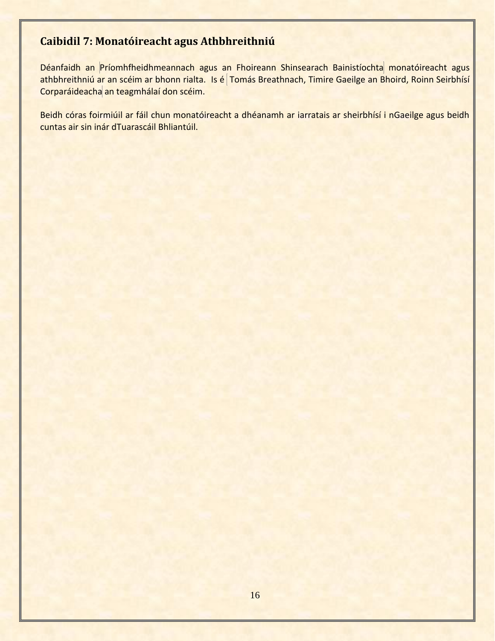# <span id="page-15-0"></span>**Caibidil 7: Monatóireacht agus Athbhreithniú**

Déanfaidh an Príomhfheidhmeannach agus an Fhoireann Shinsearach Bainistíochta monatóireacht agus athbhreithniú ar an scéim ar bhonn rialta. Is é Tomás Breathnach, Timire Gaeilge an Bhoird, Roinn Seirbhísí Corparáideacha an teagmhálaí don scéim.

<span id="page-15-1"></span>Beidh córas foirmiúil ar fáil chun monatóireacht a dhéanamh ar iarratais ar sheirbhísí i nGaeilge agus beidh cuntas air sin inár dTuarascáil Bhliantúil.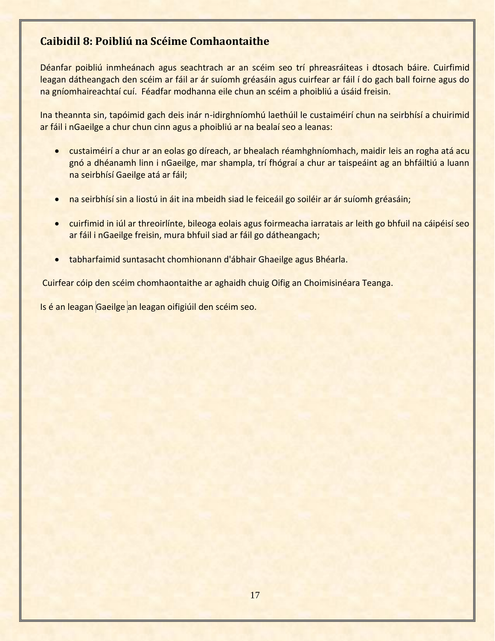## **Caibidil 8: Poibliú na Scéime Comhaontaithe**

Déanfar poibliú inmheánach agus seachtrach ar an scéim seo trí phreasráiteas i dtosach báire. Cuirfimid leagan dátheangach den scéim ar fáil ar ár suíomh gréasáin agus cuirfear ar fáil í do gach ball foirne agus do na gníomhaireachtaí cuí. Féadfar modhanna eile chun an scéim a phoibliú a úsáid freisin.

Ina theannta sin, tapóimid gach deis inár n-idirghníomhú laethúil le custaiméirí chun na seirbhísí a chuirimid ar fáil i nGaeilge a chur chun cinn agus a phoibliú ar na bealaí seo a leanas:

- custaiméirí a chur ar an eolas go díreach, ar bhealach réamhghníomhach, maidir leis an rogha atá acu gnó a dhéanamh linn i nGaeilge, mar shampla, trí fhógraí a chur ar taispeáint ag an bhfáiltiú a luann na seirbhísí Gaeilge atá ar fáil;
- na seirbhísí sin a liostú in áit ina mbeidh siad le feiceáil go soiléir ar ár suíomh gréasáin;
- cuirfimid in iúl ar threoirlínte, bileoga eolais agus foirmeacha iarratais ar leith go bhfuil na cáipéisí seo ar fáil i nGaeilge freisin, mura bhfuil siad ar fáil go dátheangach;
- tabharfaimid suntasacht chomhionann d'ábhair Ghaeilge agus Bhéarla.

Cuirfear cóip den scéim chomhaontaithe ar aghaidh chuig Oifig an Choimisinéara Teanga.

<span id="page-16-0"></span>Is é an leagan Gaeilge an leagan oifigiúil den scéim seo.